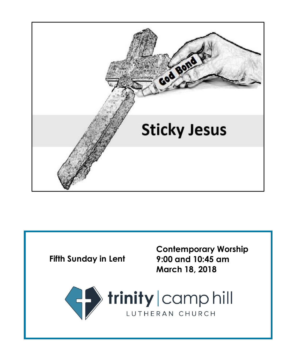

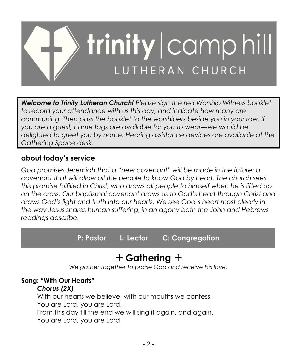

*Welcome to Trinity Lutheran Church! Please sign the red Worship Witness booklet to record your attendance with us this day, and indicate how many are communing. Then pass the booklet to the worshipers beside you in your row. If you are a guest, name tags are available for you to wear---we would be delighted to greet you by name. Hearing assistance devices are available at the Gathering Space desk.*

#### **about today's service**

*God promises Jeremiah that a "new covenant" will be made in the future: a covenant that will allow all the people to know God by heart. The church sees this promise fulfilled in Christ, who draws all people to himself when he is lifted up on the cross. Our baptismal covenant draws us to God's heart through Christ and draws God's light and truth into our hearts. We see God's heart most clearly in the way Jesus shares human suffering, in an agony both the John and Hebrews readings describe.*

**P: Pastor L: Lector C: Congregation**

# + **Gathering** +

*We gather together to praise God and receive His love.*

#### **Song: "With Our Hearts"**

#### *Chorus (2X)*

With our hearts we believe, with our mouths we confess, You are Lord, you are Lord. From this day till the end we will sing it again, and again. You are Lord, you are Lord.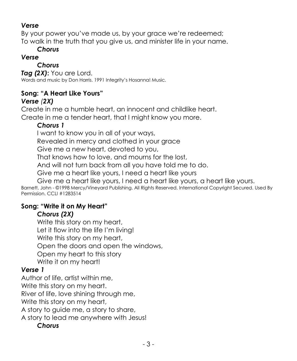#### *Verse*

By your power you've made us, by your grace we're redeemed; To walk in the truth that you give us, and minister life in your name.

#### *Chorus*

#### *Verse*

#### *Chorus*

*Tag (2X)***:** You are Lord. Words and music by Don Harris. 1991 Integrity's Hosanna! Music.

## **Song: "A Heart Like Yours"**

#### *Verse (2X)*

Create in me a humble heart, an innocent and childlike heart. Create in me a tender heart, that I might know you more.

## *Chorus 1*

I want to know you in all of your ways,

Revealed in mercy and clothed in your grace

Give me a new heart, devoted to you,

That knows how to love, and mourns for the lost,

And will not turn back from all you have told me to do.

Give me a heart like yours, I need a heart like yours

Give me a heart like yours, I need a heart like yours, a heart like yours.

Barnett, John - ©1998 Mercy/Vineyard Publishing. All Rights Reserved. International Copyright Secured. Used By Permission. CCLI #1283514

#### **Song: "Write it on My Heart"**

#### *Chorus (2X)*

Write this story on my heart, Let it flow into the life I'm living! Write this story on my heart, Open the doors and open the windows, Open my heart to this story Write it on my heart!

## *Verse 1*

Author of life, artist within me,

Write this story on my heart.

River of life, love shining through me,

Write this story on my heart,

A story to guide me, a story to share,

A story to lead me anywhere with Jesus!

#### *Chorus*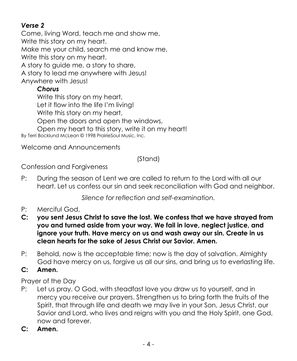### *Verse 2*

Come, living Word, teach me and show me, Write this story on my heart. Make me your child, search me and know me, Write this story on my heart. A story to guide me, a story to share, A story to lead me anywhere with Jesus! Anywhere with Jesus!

#### *Chorus*

Write this story on my heart, Let it flow into the life I'm living!

Write this story on my heart,

Open the doors and open the windows,

Open my heart to this story, write it on my heart! By Terri Bocklund McLean © 1998 PrairieSoul Music, Inc.

Welcome and Announcements

## (Stand)

Confession and Forgiveness

P: During the season of Lent we are called to return to the Lord with all our heart. Let us confess our sin and seek reconciliation with God and neighbor.

*Silence for reflection and self-examination.*

- P: Merciful God,
- **C: you sent Jesus Christ to save the lost. We confess that we have strayed from you and turned aside from your way. We fail in love, neglect justice, and ignore your truth. Have mercy on us and wash away our sin. Create in us clean hearts for the sake of Jesus Christ our Savior. Amen.**
- P: Behold, now is the acceptable time; now is the day of salvation. Almighty God have mercy on us, forgive us all our sins, and bring us to everlasting life.
- **C: Amen.**

Prayer of the Day

- P: Let us pray. O God, with steadfast love you draw us to yourself, and in mercy you receive our prayers. Strengthen us to bring forth the fruits of the Spirit, that through life and death we may live in your Son, Jesus Christ, our Savior and Lord, who lives and reigns with you and the Holy Spirit, one God, now and forever.
- **C: Amen.**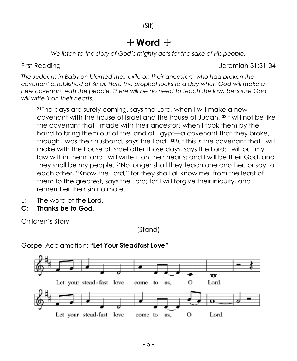# $+$  Word  $+$

*We listen to the story of God's mighty acts for the sake of His people.*

First Reading The Library of the Library of the United States of the Jeremiah 31:31-34

*The Judeans in Babylon blamed their exile on their ancestors, who had broken the covenant established at Sinai. Here the prophet looks to a day when God will make a new covenant with the people. There will be no need to teach the law, because God will write it on their hearts.*

<sup>31</sup>The days are surely coming, says the Lord, when I will make a new covenant with the house of Israel and the house of Judah. <sup>32</sup>It will not be like the covenant that I made with their ancestors when I took them by the hand to bring them out of the land of Egypt—a covenant that they broke, though I was their husband, says the Lord. <sup>33</sup>But this is the covenant that I will make with the house of Israel after those days, says the Lord: I will put my law within them, and I will write it on their hearts; and I will be their God, and they shall be my people. <sup>34</sup>No longer shall they teach one another, or say to each other, "Know the Lord," for they shall all know me, from the least of them to the greatest, says the Lord; for I will forgive their iniquity, and remember their sin no more.

- L: The word of the Lord.
- **C: Thanks be to God.**

Children's Story

(Stand)

![](_page_4_Figure_11.jpeg)

Gospel Acclamation: **"Let Your Steadfast Love"**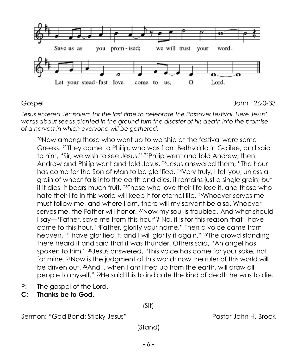![](_page_5_Figure_0.jpeg)

Gospel John 12:20-33

*Jesus entered Jerusalem for the last time to celebrate the Passover festival. Here Jesus' words about seeds planted in the ground turn the disaster of his death into the promise of a harvest in which everyone will be gathered.*

<sup>20</sup>Now among those who went up to worship at the festival were some Greeks. <sup>21</sup>They came to Philip, who was from Bethsaida in Galilee, and said to him, "Sir, we wish to see Jesus." <sup>22</sup>Philip went and told Andrew; then Andrew and Philip went and told Jesus. <sup>23</sup>Jesus answered them, "The hour has come for the Son of Man to be glorified. <sup>24</sup>Very truly, I tell you, unless a grain of wheat falls into the earth and dies, it remains just a single grain; but if it dies, it bears much fruit. <sup>25</sup>Those who love their life lose it, and those who hate their life in this world will keep it for eternal life. <sup>26</sup>Whoever serves me must follow me, and where I am, there will my servant be also. Whoever serves me, the Father will honor. 27Now my soul is troubled. And what should I say—'Father, save me from this hour'? No, it is for this reason that I have come to this hour. <sup>28</sup>Father, glorify your name." Then a voice came from heaven, "I have glorified it, and I will glorify it again." <sup>29</sup>The crowd standing there heard it and said that it was thunder. Others said, "An angel has spoken to him." <sup>30</sup>Jesus answered, "This voice has come for your sake, not for mine. <sup>31</sup>Now is the judgment of this world; now the ruler of this world will be driven out. <sup>32</sup>And I, when I am lifted up from the earth, will draw all people to myself." <sup>33</sup>He said this to indicate the kind of death he was to die.

- P: The gospel of the Lord.
- **C: Thanks be to God.**

Sermon: "God Bond: Sticky Jesus" extending the pastor John H. Brock

(Stand)

(Sit)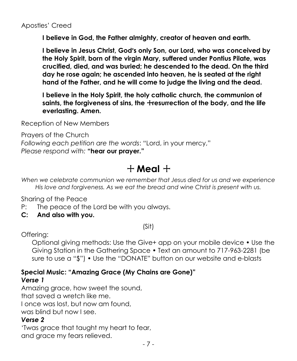**I believe in God, the Father almighty, creator of heaven and earth.**

**I believe in Jesus Christ, God's only Son, our Lord, who was conceived by the Holy Spirit, born of the virgin Mary, suffered under Pontius Pilate, was crucified, died, and was buried; he descended to the dead. On the third day he rose again; he ascended into heaven, he is seated at the right hand of the Father, and he will come to judge the living and the dead.**

**I believe in the Holy Spirit, the holy catholic church, the communion of saints, the forgiveness of sins, the** +**resurrection of the body, and the life everlasting. Amen.**

Reception of New Members

Prayers of the Church *Following each petition are the words*: "Lord, in your mercy," *Please respond with:* **"hear our prayer."**

# $+$  Meal  $+$

*When we celebrate communion we remember that Jesus died for us and we experience His love and forgiveness. As we eat the bread and wine Christ is present with us.*

Sharing of the Peace

- P: The peace of the Lord be with you always.
- **C: And also with you.**

(Sit)

Offering:

Optional giving methods: Use the Give+ app on your mobile device • Use the Giving Station in the Gathering Space • Text an amount to 717-963-2281 (be sure to use a "\$") • Use the "DONATE" button on our website and e-blasts

## **Special Music: "Amazing Grace (My Chains are Gone)"**

#### *Verse 1*

Amazing grace, how sweet the sound, that saved a wretch like me. I once was lost, but now am found, was blind but now I see.

#### *Verse 2*

'Twas grace that taught my heart to fear, and grace my fears relieved.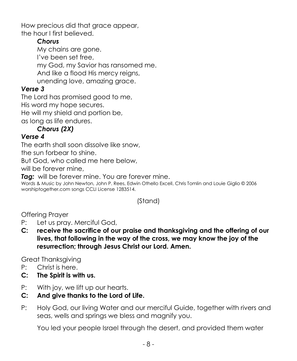How precious did that grace appear, the hour I first believed.

#### *Chorus*

My chains are gone. I've been set free, my God, my Savior has ransomed me. And like a flood His mercy reigns, unending love, amazing grace.

### *Verse 3*

The Lord has promised good to me,

His word my hope secures.

He will my shield and portion be,

as long as life endures.

## *Chorus (2X)*

#### *Verse 4*

The earth shall soon dissolve like snow,

the sun forbear to shine.

But God, who called me here below,

will be forever mine,

*Tag:* will be forever mine. You are forever mine.

Words & Music by John Newton, John P. Rees, Edwin Othello Excell, Chris Tomlin and Louie Giglio © 2006 worshiptogether.com songs CCLI License 1283514.

## (Stand)

Offering Prayer

- P: Let us pray. Merciful God,
- **C: receive the sacrifice of our praise and thanksgiving and the offering of our lives, that following in the way of the cross, we may know the joy of the resurrection; through Jesus Christ our Lord. Amen.**

Great Thanksgiving

- P: Christ is here.
- **C: The Spirit is with us.**
- P: With joy, we lift up our hearts.
- **C: And give thanks to the Lord of Life.**
- P: Holy God, our living Water and our merciful Guide, together with rivers and seas, wells and springs we bless and magnify you.

You led your people Israel through the desert, and provided them water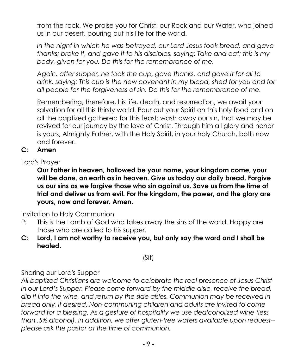from the rock. We praise you for Christ, our Rock and our Water, who joined us in our desert, pouring out his life for the world.

*In the night in which he was betrayed, our Lord Jesus took bread, and gave thanks; broke it, and gave it to his disciples, saying: Take and eat; this is my body, given for you. Do this for the remembrance of me.*

*Again, after supper, he took the cup, gave thanks, and gave it for all to drink, saying: This cup is the new covenant in my blood, shed for you and for all people for the forgiveness of sin. Do this for the remembrance of me.*

Remembering, therefore, his life, death, and resurrection, we await your salvation for all this thirsty world. Pour out your Spirit on this holy food and on all the baptized gathered for this feast: wash away our sin, that we may be revived for our journey by the love of Christ. Through him all glory and honor is yours, Almighty Father, with the Holy Spirit, in your holy Church, both now and forever.

#### **C: Amen**

Lord's Prayer

**Our Father in heaven, hallowed be your name, your kingdom come, your will be done, on earth as in heaven. Give us today our daily bread. Forgive us our sins as we forgive those who sin against us. Save us from the time of trial and deliver us from evil. For the kingdom, the power, and the glory are yours, now and forever. Amen.**

Invitation to Holy Communion

- P: This is the Lamb of God who takes away the sins of the world. Happy are those who are called to his supper.
- **C: Lord, I am not worthy to receive you, but only say the word and I shall be healed.**

(Sit)

Sharing our Lord's Supper

*All baptized Christians are welcome to celebrate the real presence of Jesus Christ in our Lord's Supper. Please come forward by the middle aisle, receive the bread, dip it into the wine, and return by the side aisles. Communion may be received in bread only, if desired. Non-communing children and adults are invited to come forward for a blessing. As a gesture of hospitality we use dealcoholized wine (less than .5% alcohol). In addition, we offer gluten-free wafers available upon request- please ask the pastor at the time of communion.*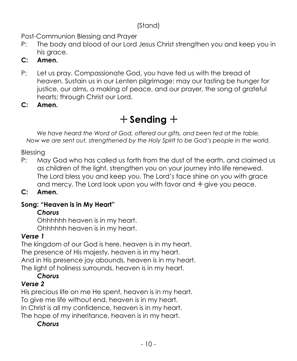#### (Stand)

Post-Communion Blessing and Prayer

P: The body and blood of our Lord Jesus Christ strengthen you and keep you in his arace.

## **C: Amen.**

- P: Let us pray. Compassionate God, you have fed us with the bread of heaven. Sustain us in our Lenten pilgrimage: may our fasting be hunger for justice, our alms, a making of peace, and our prayer, the song of grateful hearts; through Christ our Lord.
- **C: Amen.**

# + **Sending** +

*We have heard the Word of God, offered our gifts, and been fed at the table. Now we are sent out, strengthened by the Holy Spirit to be God's people in the world.*

Blessing

- P: May God who has called us forth from the dust of the earth, and claimed us as children of the light, strengthen you on your journey into life renewed. The Lord bless you and keep you. The Lord's face shine on you with grace and mercy. The Lord look upon you with favor and  $+$  give you peace.
- **C: Amen.**

## **Song: "Heaven is in My Heart"**

## *Chorus*

Ohhhhhh heaven is in my heart. Ohhhhhh heaven is in my heart.

## *Verse 1*

The kingdom of our God is here, heaven is in my heart. The presence of His majesty, heaven is in my heart. And in His presence joy abounds, heaven is in my heart. The light of holiness surrounds, heaven is in my heart.

## *Chorus*

## *Verse 2*

His precious life on me He spent, heaven is in my heart. To give me life without end, heaven is in my heart. In Christ is all my confidence, heaven is in my heart. The hope of my inheritance, heaven is in my heart.

## *Chorus*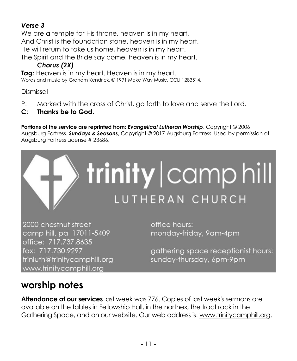## *Verse 3*

We are a temple for His throne, heaven is in my heart. And Christ is the foundation stone, heaven is in my heart. He will return to take us home, heaven is in my heart. The Spirit and the Bride say come, heaven is in my heart.

## *Chorus (2X)*

*Tag:* Heaven is in my heart. Heaven is in my heart. Words and music by Graham Kendrick, © 1991 Make Way Music, CCLI 1283514.

Dismissal

- P: Marked with the cross of Christ, go forth to love and serve the Lord.
- **C: Thanks be to God.**

**Portions of the service are reprinted from:** *Evangelical Lutheran Worship*, Copyright © 2006 Augsburg Fortress. *Sundays & Seasons*, Copyright © 2017 Augsburg Fortress. Used by permission of Augsburg Fortress License # 23686.

![](_page_10_Picture_8.jpeg)

2000 chestnut street camp hill, pa 17011-5409 office: 717.737.8635 fax: 717.730.9297 trinluth@trinitycamphill.org www.trinitycamphill.org

office hours: monday-friday, 9am-4pm

gathering space receptionist hours: sunday-thursday, 6pm-9pm

# **worship notes**

**Attendance at our services** last week was 776. Copies of last week's sermons are available on the tables in Fellowship Hall, in the narthex, the tract rack in the Gathering Space, and on our website. Our web address is[: www.trinitycamphill.org.](http://www.trinitycamphill.org/)